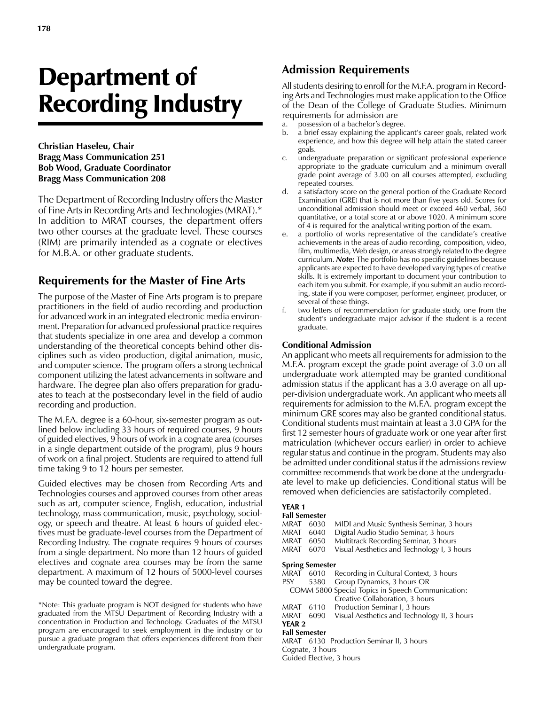# Department of Recording Industry

**Christian Haseleu, Chair Bragg Mass Communication 251 Bob Wood, Graduate Coordinator Bragg Mass Communication 208**

The Department of Recording Industry offers the Master of Fine Arts in Recording Arts and Technologies (MRAT).\* In addition to MRAT courses, the department offers two other courses at the graduate level. These courses (RIM) are primarily intended as a cognate or electives for M.B.A. or other graduate students.

# **Requirements for the Master of Fine Arts**

The purpose of the Master of Fine Arts program is to prepare practitioners in the field of audio recording and production for advanced work in an integrated electronic media environment. Preparation for advanced professional practice requires that students specialize in one area and develop a common understanding of the theoretical concepts behind other disciplines such as video production, digital animation, music, and computer science. The program offers a strong technical component utilizing the latest advancements in software and hardware. The degree plan also offers preparation for graduates to teach at the postsecondary level in the field of audio recording and production.

The M.F.A. degree is a 60-hour, six-semester program as outlined below including 33 hours of required courses, 9 hours of guided electives, 9 hours of work in a cognate area (courses in a single department outside of the program), plus 9 hours of work on a final project. Students are required to attend full time taking 9 to 12 hours per semester.

Guided electives may be chosen from Recording Arts and Technologies courses and approved courses from other areas such as art, computer science, English, education, industrial technology, mass communication, music, psychology, sociology, or speech and theatre. At least 6 hours of guided electives must be graduate-level courses from the Department of Recording Industry. The cognate requires 9 hours of courses from a single department. No more than 12 hours of guided electives and cognate area courses may be from the same department. A maximum of 12 hours of 5000-level courses may be counted toward the degree.

\*Note: This graduate program is NOT designed for students who have graduated from the MTSU Department of Recording Industry with a concentration in Production and Technology. Graduates of the MTSU program are encouraged to seek employment in the industry or to pursue a graduate program that offers experiences different from their undergraduate program.

# **Admission Requirements**

All students desiring to enroll for the M.F.A. program in Recording Arts and Technologies must make application to the Office of the Dean of the College of Graduate Studies. Minimum requirements for admission are

- a. possession of a bachelor's degree.
- b. a brief essay explaining the applicant's career goals, related work experience, and how this degree will help attain the stated career goals.
- c. undergraduate preparation or significant professional experience appropriate to the graduate curriculum and a minimum overall grade point average of 3.00 on all courses attempted, excluding repeated courses.
- d. a satisfactory score on the general portion of the Graduate Record Examination (GRE) that is not more than five years old. Scores for unconditional admission should meet or exceed 460 verbal, 560 quantitative, or a total score at or above 1020. A minimum score of 4 is required for the analytical writing portion of the exam.
- a portfolio of works representative of the candidate's creative achievements in the areas of audio recording, composition, video, film, multimedia, Web design, or areas strongly related to the degree curriculum. *Note:* The portfolio has no specific guidelines because applicants are expected to have developed varying types of creative skills. It is extremely important to document your contribution to each item you submit. For example, if you submit an audio recording, state if you were composer, performer, engineer, producer, or several of these things.
- f. two letters of recommendation for graduate study, one from the student's undergraduate major advisor if the student is a recent graduate.

### **Conditional Admission**

An applicant who meets all requirements for admission to the M.F.A. program except the grade point average of 3.0 on all undergraduate work attempted may be granted conditional admission status if the applicant has a 3.0 average on all upper-division undergraduate work. An applicant who meets all requirements for admission to the M.F.A. program except the minimum GRE scores may also be granted conditional status. Conditional students must maintain at least a 3.0 GPA for the first 12 semester hours of graduate work or one year after first matriculation (whichever occurs earlier) in order to achieve regular status and continue in the program. Students may also be admitted under conditional status if the admissions review committee recommends that work be done at the undergraduate level to make up deficiencies. Conditional status will be removed when deficiencies are satisfactorily completed.

## **YEAR 1**

| <b>Fall Semester</b>                              |      |                                              |
|---------------------------------------------------|------|----------------------------------------------|
| <b>MRAT</b>                                       | 6030 | MIDI and Music Synthesis Seminar, 3 hours    |
| <b>MRAT</b>                                       | 6040 | Digital Audio Studio Seminar, 3 hours        |
| <b>MRAT</b>                                       | 6050 | Multitrack Recording Seminar, 3 hours        |
| <b>MRAT</b>                                       | 6070 | Visual Aesthetics and Technology I, 3 hours  |
| <b>Spring Semester</b>                            |      |                                              |
| MRAT                                              | 6010 | Recording in Cultural Context, 3 hours       |
| <b>PSY</b>                                        | 5380 | Group Dynamics, 3 hours OR                   |
| COMM 5800 Special Topics in Speech Communication: |      |                                              |
|                                                   |      | Creative Collaboration, 3 hours              |
| <b>MRAT</b>                                       | 6110 | Production Seminar I, 3 hours                |
| <b>MRAT</b>                                       | 6090 | Visual Aesthetics and Technology II, 3 hours |
| YEAR 2                                            |      |                                              |
| <b>Fall Semester</b>                              |      |                                              |
|                                                   |      | MRAT 6130 Production Seminar II, 3 hours     |
|                                                   |      |                                              |

Cognate, 3 hours

Guided Elective, 3 hours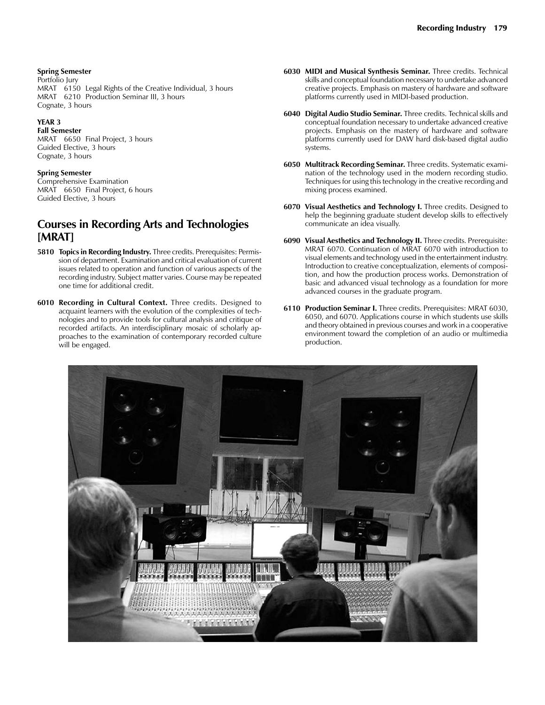#### **Spring Semester**

Portfolio Jury MRAT 6150 Legal Rights of the Creative Individual, 3 hours MRAT 6210 Production Seminar III, 3 hours Cognate, 3 hours

#### **YEAR 3**

**Fall Semester** MRAT 6650 Final Project, 3 hours Guided Elective, 3 hours Cognate, 3 hours

#### **Spring Semester**

Comprehensive Examination MRAT 6650 Final Project, 6 hours Guided Elective, 3 hours

## **Courses in Recording Arts and Technologies [MRAT]**

- **5810 Topics in Recording Industry.** Three credits. Prerequisites: Permission of department. Examination and critical evaluation of current issues related to operation and function of various aspects of the recording industry. Subject matter varies. Course may be repeated one time for additional credit.
- **6010 Recording in Cultural Context.** Three credits. Designed to acquaint learners with the evolution of the complexities of technologies and to provide tools for cultural analysis and critique of recorded artifacts. An interdisciplinary mosaic of scholarly approaches to the examination of contemporary recorded culture will be engaged.
- **6030 MIDI and Musical Synthesis Seminar.** Three credits. Technical skills and conceptual foundation necessary to undertake advanced creative projects. Emphasis on mastery of hardware and software platforms currently used in MIDI-based production.
- **6040 Digital Audio Studio Seminar.** Three credits. Technical skills and conceptual foundation necessary to undertake advanced creative projects. Emphasis on the mastery of hardware and software platforms currently used for DAW hard disk-based digital audio systems.
- **6050 Multitrack Recording Seminar.** Three credits. Systematic examination of the technology used in the modern recording studio. Techniques for using this technology in the creative recording and mixing process examined.
- **6070 Visual Aesthetics and Technology I.** Three credits. Designed to help the beginning graduate student develop skills to effectively communicate an idea visually.
- **6090 Visual Aesthetics and Technology II.** Three credits. Prerequisite: MRAT 6070. Continuation of MRAT 6070 with introduction to visual elements and technology used in the entertainment industry. Introduction to creative conceptualization, elements of composition, and how the production process works. Demonstration of basic and advanced visual technology as a foundation for more advanced courses in the graduate program.
- **6110 Production Seminar I.** Three credits. Prerequisites: MRAT 6030, 6050, and 6070. Applications course in which students use skills and theory obtained in previous courses and work in a cooperative environment toward the completion of an audio or multimedia production.